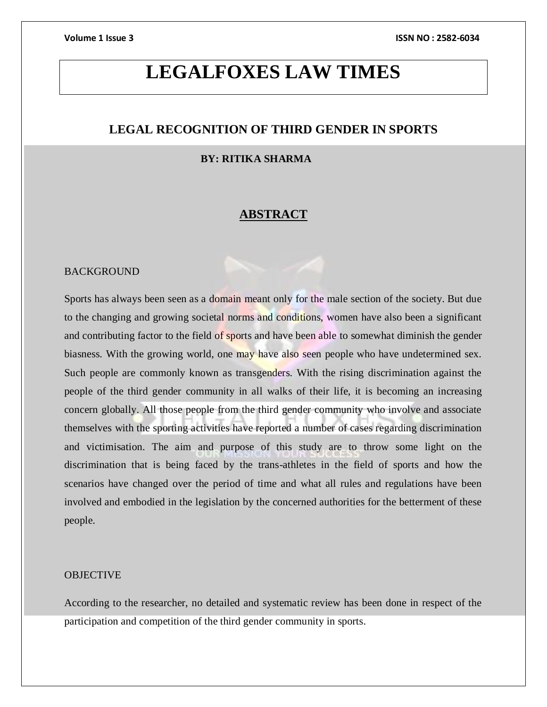# **LEGALFOXES LAW TIMES**

### **LEGAL RECOGNITION OF THIRD GENDER IN SPORTS**

### **BY: RITIKA SHARMA**

### **ABSTRACT**

#### BACKGROUND

Sports has always been seen as a domain meant only for the male section of the society. But due to the changing and growing societal norms and conditions, women have also been a significant and contributing factor to the field of sports and have been able to somewhat diminish the gender biasness. With the growing world, one may have also seen people who have undetermined sex. Such people are commonly known as transgenders. With the rising discrimination against the people of the third gender community in all walks of their life, it is becoming an increasing concern globally. All those people from the third gender community who involve and associate themselves with the sporting activities have reported a number of cases regarding discrimination and victimisation. The aim and purpose of this study are to throw some light on the discrimination that is being faced by the trans-athletes in the field of sports and how the scenarios have changed over the period of time and what all rules and regulations have been involved and embodied in the legislation by the concerned authorities for the betterment of these people.

### **OBJECTIVE**

According to the researcher, no detailed and systematic review has been done in respect of the participation and competition of the third gender community in sports.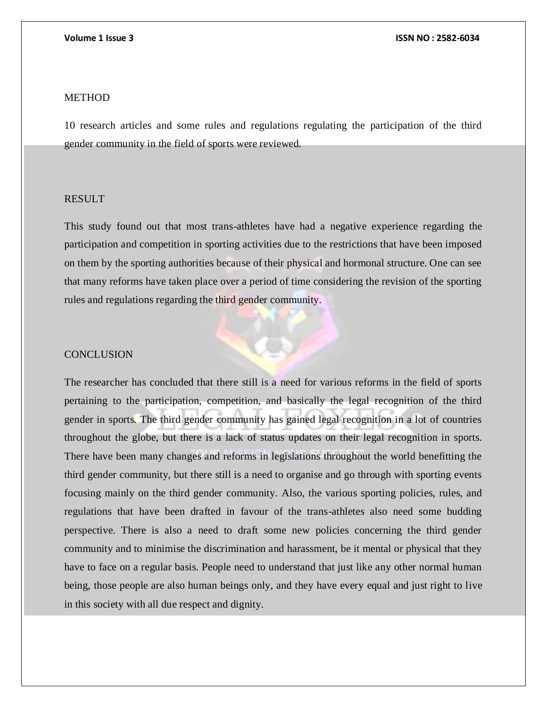### **METHOD**

10 research articles and some rules and regulations regulating the participation of the third gender community in the field of sports were reviewed.

### RESULT

This study found out that most trans-athletes have had a negative experience regarding the participation and competition in sporting activities due to the restrictions that have been imposed on them by the sporting authorities because of their physical and hormonal structure. One can see that many reforms have taken place over a period of time considering the revision of the sporting rules and regulations regarding the third gender community.

#### **CONCLUSION**

The researcher has concluded that there still is a need for various reforms in the field of sports pertaining to the participation, competition, and basically the legal recognition of the third gender in sports. The third gender community has gained legal recognition in a lot of countries throughout the globe, but there is a lack of status updates on their legal recognition in sports. There have been many changes and reforms in legislations throughout the world benefitting the third gender community, but there still is a need to organise and go through with sporting events focusing mainly on the third gender community. Also, the various sporting policies, rules, and regulations that have been drafted in favour of the trans-athletes also need some budding perspective. There is also a need to draft some new policies concerning the third gender community and to minimise the discrimination and harassment, be it mental or physical that they have to face on a regular basis. People need to understand that just like any other normal human being, those people are also human beings only, and they have every equal and just right to live in this society with all due respect and dignity.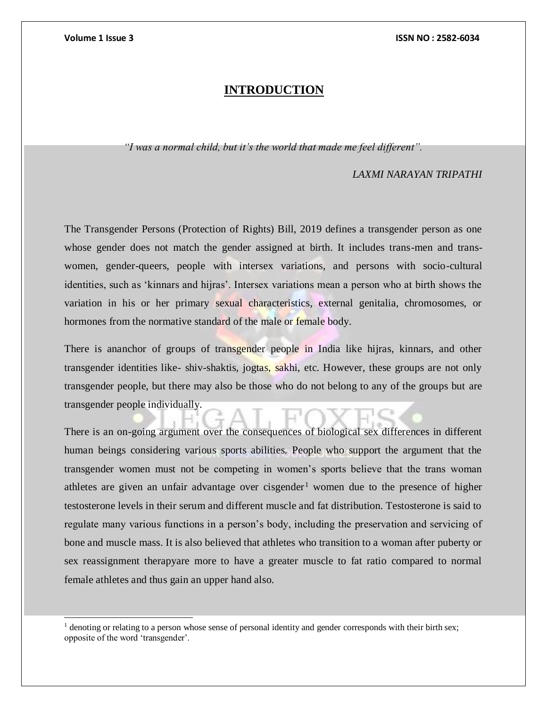l

### **INTRODUCTION**

*"I was a normal child, but it's the world that made me feel different".*

#### *LAXMI NARAYAN TRIPATHI*

The Transgender Persons (Protection of Rights) Bill, 2019 defines a transgender person as one whose gender does not match the gender assigned at birth. It includes trans-men and transwomen, gender-queers, people with intersex variations, and persons with socio-cultural identities, such as 'kinnars and hijras'. Intersex variations mean a person who at birth shows the variation in his or her primary sexual characteristics, external genitalia, chromosomes, or hormones from the normative standard of the male or female body.

There is ananchor of groups of transgender people in India like hijras, kinnars, and other transgender identities like- shiv-shaktis, jogtas, sakhi, etc. However, these groups are not only transgender people, but there may also be those who do not belong to any of the groups but are transgender people individually.

There is an on-going argument over the consequences of biological sex differences in different human beings considering various sports abilities. People who support the argument that the transgender women must not be competing in women's sports believe that the trans woman athletes are given an unfair advantage over cisgender<sup>1</sup> women due to the presence of higher testosterone levels in their serum and different muscle and fat distribution. Testosterone is said to regulate many various functions in a person's body, including the preservation and servicing of bone and muscle mass. It is also believed that athletes who transition to a woman after puberty or sex reassignment therapyare more to have a greater muscle to fat ratio compared to normal female athletes and thus gain an upper hand also.

<sup>&</sup>lt;sup>1</sup> denoting or relating to a person whose sense of personal identity and gender corresponds with their birth sex; opposite of the word 'transgender'.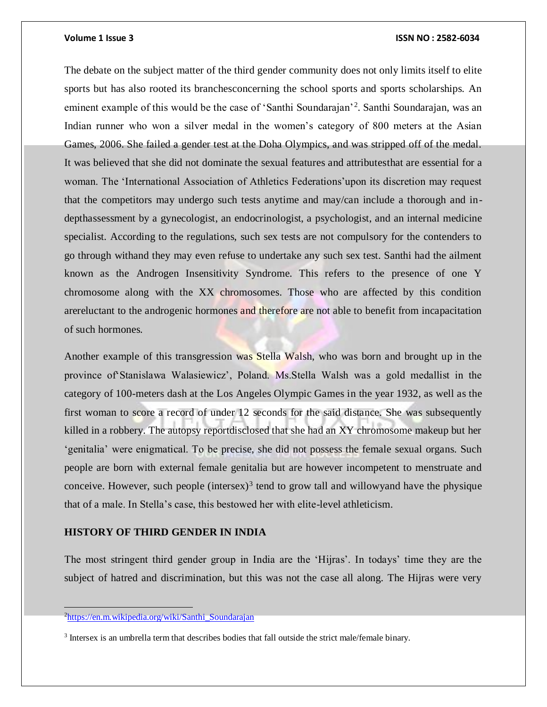The debate on the subject matter of the third gender community does not only limits itself to elite sports but has also rooted its branchesconcerning the school sports and sports scholarships. An eminent example of this would be the case of 'Santhi Soundarajan'<sup>2</sup>. Santhi Soundarajan, was an Indian runner who won a silver medal in the women's category of 800 meters at the Asian Games, 2006. She failed a gender test at the Doha Olympics, and was stripped off of the medal. It was believed that she did not dominate the sexual features and attributesthat are essential for a woman. The 'International Association of Athletics Federations'upon its discretion may request that the competitors may undergo such tests anytime and may/can include a thorough and indepthassessment by a gynecologist, an endocrinologist, a psychologist, and an internal medicine specialist. According to the regulations, such sex tests are not compulsory for the contenders to go through withand they may even refuse to undertake any such sex test. Santhi had the ailment known as the Androgen Insensitivity Syndrome. This refers to the presence of one Y chromosome along with the XX chromosomes. Those who are affected by this condition arereluctant to the androgenic hormones and therefore are not able to benefit from incapacitation of such hormones.

Another example of this transgression was Stella Walsh, who was born and brought up in the province of'Stanislawa Walasiewicz', Poland. Ms.Stella Walsh was a gold medallist in the category of 100-meters dash at the Los Angeles Olympic Games in the year 1932, as well as the first woman to score a record of under 12 seconds for the said distance. She was subsequently killed in a robbery. The autopsy reportdisclosed that she had an XY chromosome makeup but her 'genitalia' were enigmatical. To be precise, she did not possess the female sexual organs. Such people are born with external female genitalia but are however incompetent to menstruate and conceive. However, such people  $(intersex)^3$  tend to grow tall and willowyand have the physique that of a male. In Stella's case, this bestowed her with elite-level athleticism.

### **HISTORY OF THIRD GENDER IN INDIA**

The most stringent third gender group in India are the 'Hijras'. In todays' time they are the subject of hatred and discrimination, but this was not the case all along. The Hijras were very

 $\overline{a}$ 

<sup>&</sup>lt;sup>2</sup>[https://en.m.wikipedia.org/wiki/Santhi\\_Soundarajan](https://en.m.wikipedia.org/wiki/Santhi_Soundarajan)

<sup>&</sup>lt;sup>3</sup> Intersex is an umbrella term that describes bodies that fall outside the strict male/female binary.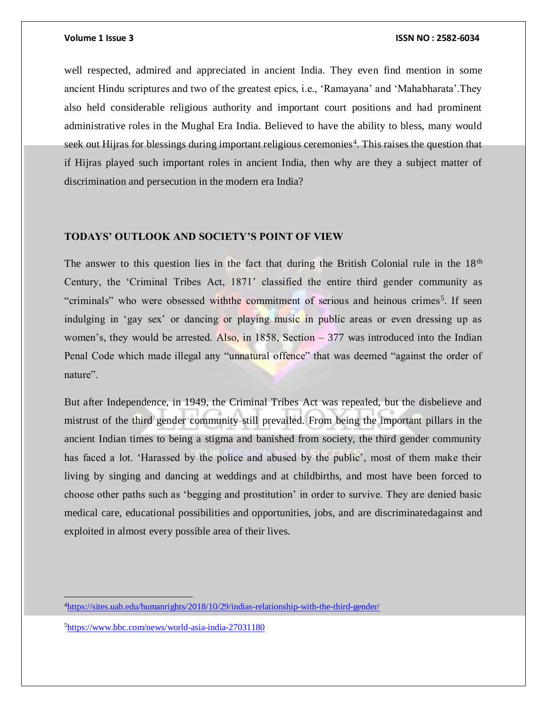well respected, admired and appreciated in ancient India. They even find mention in some ancient Hindu scriptures and two of the greatest epics, i.e., 'Ramayana' and 'Mahabharata'.They also held considerable religious authority and important court positions and had prominent administrative roles in the Mughal Era India. Believed to have the ability to bless, many would seek out Hijras for blessings during important religious ceremonies<sup>4</sup>. This raises the question that if Hijras played such important roles in ancient India, then why are they a subject matter of discrimination and persecution in the modern era India?

### **TODAYS' OUTLOOK AND SOCIETY'S POINT OF VIEW**

The answer to this question lies in the fact that during the British Colonial rule in the  $18<sup>th</sup>$ Century, the 'Criminal Tribes Act, 1871' classified the entire third gender community as "criminals" who were obsessed with the commitment of serious and heinous crimes<sup>5</sup>. If seen indulging in 'gay sex' or dancing or playing music in public areas or even dressing up as women's, they would be arrested. Also, in  $1858$ , Section  $-377$  was introduced into the Indian Penal Code which made illegal any "unnatural offence" that was deemed "against the order of nature".

But after Independence, in 1949, the Criminal Tribes Act was repealed, but the disbelieve and mistrust of the third gender community still prevailed. From being the important pillars in the ancient Indian times to being a stigma and banished from society, the third gender community has faced a lot. 'Harassed by the police and abused by the public', most of them make their living by singing and dancing at weddings and at childbirths, and most have been forced to choose other paths such as 'begging and prostitution' in order to survive. They are denied basic medical care, educational possibilities and opportunities, jobs, and are discriminatedagainst and exploited in almost every possible area of their lives.

5<https://www.bbc.com/news/world-asia-india-27031180>

<sup>4</sup><https://sites.uab.edu/humanrights/2018/10/29/indias-relationship-with-the-third-gender/>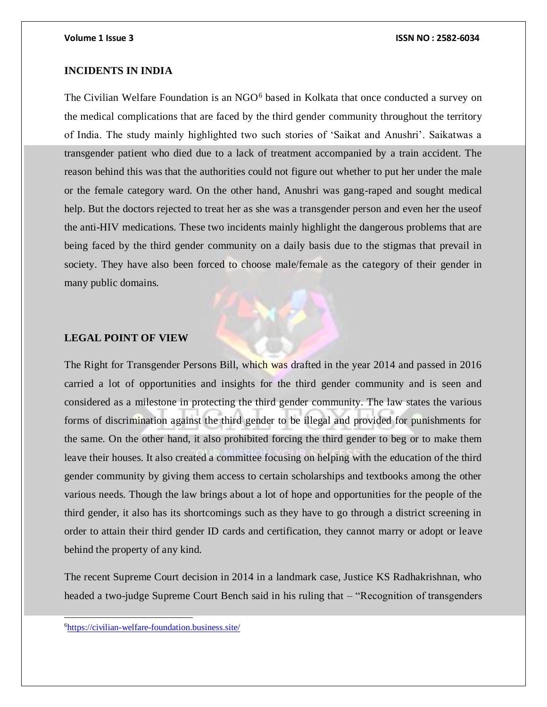### **INCIDENTS IN INDIA**

The Civilian Welfare Foundation is an NGO<sup>6</sup> based in Kolkata that once conducted a survey on the medical complications that are faced by the third gender community throughout the territory of India. The study mainly highlighted two such stories of 'Saikat and Anushri'. Saikatwas a transgender patient who died due to a lack of treatment accompanied by a train accident. The reason behind this was that the authorities could not figure out whether to put her under the male or the female category ward. On the other hand, Anushri was gang-raped and sought medical help. But the doctors rejected to treat her as she was a transgender person and even her the useof the anti-HIV medications. These two incidents mainly highlight the dangerous problems that are being faced by the third gender community on a daily basis due to the stigmas that prevail in society. They have also been forced to choose male/female as the category of their gender in many public domains.

#### **LEGAL POINT OF VIEW**

The Right for Transgender Persons Bill, which was drafted in the year 2014 and passed in 2016 carried a lot of opportunities and insights for the third gender community and is seen and considered as a milestone in protecting the third gender community. The law states the various forms of discrimination against the third gender to be illegal and provided for punishments for the same. On the other hand, it also prohibited forcing the third gender to beg or to make them leave their houses. It also created a committee focusing on helping with the education of the third gender community by giving them access to certain scholarships and textbooks among the other various needs. Though the law brings about a lot of hope and opportunities for the people of the third gender, it also has its shortcomings such as they have to go through a district screening in order to attain their third gender ID cards and certification, they cannot marry or adopt or leave behind the property of any kind.

The recent Supreme Court decision in 2014 in a landmark case, Justice KS Radhakrishnan, who headed a two-judge Supreme Court Bench said in his ruling that – "Recognition of transgenders"

6<https://civilian-welfare-foundation.business.site/>

l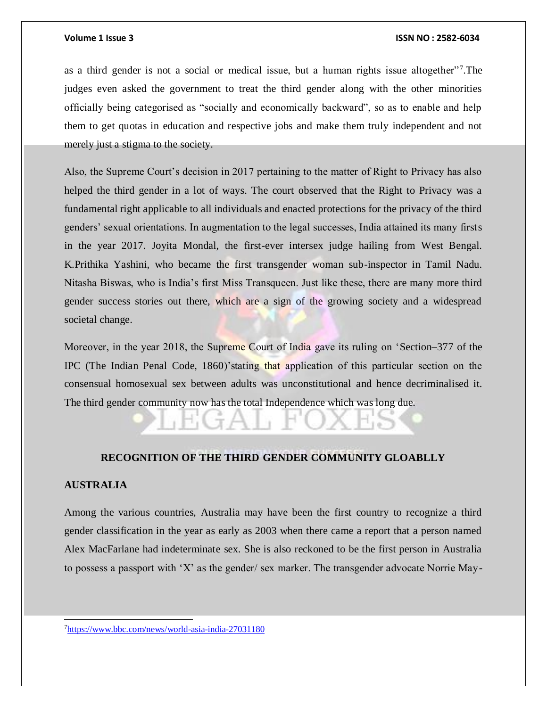as a third gender is not a social or medical issue, but a human rights issue altogether"<sup>7</sup> .The judges even asked the government to treat the third gender along with the other minorities officially being categorised as "socially and economically backward", so as to enable and help them to get quotas in education and respective jobs and make them truly independent and not merely just a stigma to the society.

Also, the Supreme Court's decision in 2017 pertaining to the matter of Right to Privacy has also helped the third gender in a lot of ways. The court observed that the Right to Privacy was a fundamental right applicable to all individuals and enacted protections for the privacy of the third genders' sexual orientations. In augmentation to the legal successes, India attained its many firsts in the year 2017. Joyita Mondal, the first-ever intersex judge hailing from West Bengal. K.Prithika Yashini, who became the first transgender woman sub-inspector in Tamil Nadu. Nitasha Biswas, who is India's first Miss Transqueen. Just like these, there are many more third gender success stories out there, which are a sign of the growing society and a widespread societal change.

Moreover, in the year 2018, the Supreme Court of India gave its ruling on 'Section–377 of the IPC (The Indian Penal Code, 1860)'stating that application of this particular section on the consensual homosexual sex between adults was unconstitutional and hence decriminalised it. The third gender community now has the total Independence which was long due.

### **RECOGNITION OF THE THIRD GENDER COMMUNITY GLOABLLY**

### **AUSTRALIA**

 $\overline{a}$ 

Among the various countries, Australia may have been the first country to recognize a third gender classification in the year as early as 2003 when there came a report that a person named Alex MacFarlane had indeterminate sex. She is also reckoned to be the first person in Australia to possess a passport with 'X' as the gender/ sex marker. The transgender advocate Norrie May-

7<https://www.bbc.com/news/world-asia-india-27031180>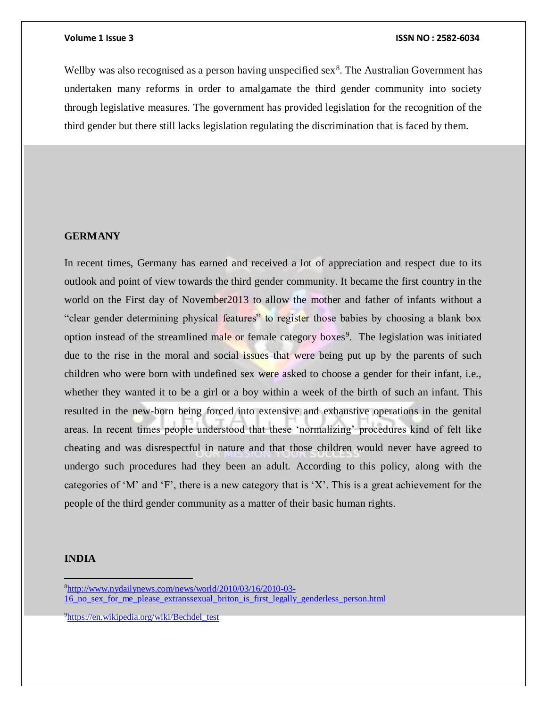Wellby was also recognised as a person having unspecified sex $8$ . The Australian Government has undertaken many reforms in order to amalgamate the third gender community into society through legislative measures. The government has provided legislation for the recognition of the third gender but there still lacks legislation regulating the discrimination that is faced by them.

### **GERMANY**

In recent times, Germany has earned and received a lot of appreciation and respect due to its outlook and point of view towards the third gender community. It became the first country in the world on the First day of November2013 to allow the mother and father of infants without a "clear gender determining physical features" to register those babies by choosing a blank box option instead of the streamlined male or female category boxes<sup>9</sup>. The legislation was initiated due to the rise in the moral and social issues that were being put up by the parents of such children who were born with undefined sex were asked to choose a gender for their infant, i.e., whether they wanted it to be a girl or a boy within a week of the birth of such an infant. This resulted in the new-born being forced into extensive and exhaustive operations in the genital areas. In recent times people understood that these 'normalizing' procedures kind of felt like cheating and was disrespectful in nature and that those children would never have agreed to undergo such procedures had they been an adult. According to this policy, along with the categories of 'M' and 'F', there is a new category that is 'X'. This is a great achievement for the people of the third gender community as a matter of their basic human rights.

#### **INDIA**

<sup>8</sup>[http://www.nydailynews.com/news/world/2010/03/16/2010-03-](http://www.nydailynews.com/news/world/2010/03/16/2010-03-16_no_sex_for_me_please_extranssexual_briton_is_first_legally_genderless_person.html) [16\\_no\\_sex\\_for\\_me\\_please\\_extranssexual\\_briton\\_is\\_first\\_legally\\_genderless\\_person.html](http://www.nydailynews.com/news/world/2010/03/16/2010-03-16_no_sex_for_me_please_extranssexual_briton_is_first_legally_genderless_person.html)

<sup>9</sup>[https://en.wikipedia.org/wiki/Bechdel\\_test](https://en.wikipedia.org/wiki/Bechdel_test)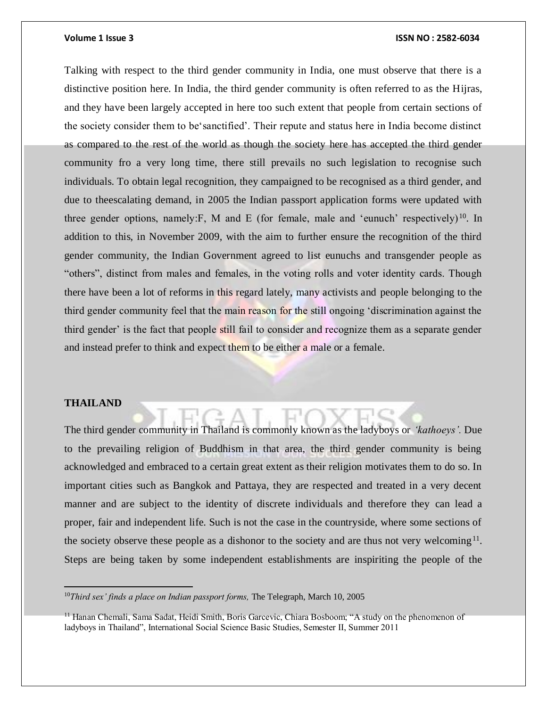Talking with respect to the third gender community in India, one must observe that there is a distinctive position here. In India, the third gender community is often referred to as the Hijras, and they have been largely accepted in here too such extent that people from certain sections of the society consider them to be'sanctified'. Their repute and status here in India become distinct as compared to the rest of the world as though the society here has accepted the third gender community fro a very long time, there still prevails no such legislation to recognise such individuals. To obtain legal recognition, they campaigned to be recognised as a third gender, and due to theescalating demand, in 2005 the Indian passport application forms were updated with three gender options, namely: F, M and E (for female, male and 'eunuch' respectively)<sup>10</sup>. In addition to this, in November 2009, with the aim to further ensure the recognition of the third gender community, the Indian Government agreed to list eunuchs and transgender people as "others", distinct from males and females, in the voting rolls and voter identity cards. Though there have been a lot of reforms in this regard lately, many activists and people belonging to the third gender community feel that the main reason for the still ongoing 'discrimination against the third gender' is the fact that people still fail to consider and recognize them as a separate gender and instead prefer to think and expect them to be either a male or a female.

### **THAILAND**

 $\overline{a}$ 

The third gender community in Thailand is commonly known as the ladyboys or *'kathoeys'.* Due to the prevailing religion of Buddhism in that area, the third gender community is being acknowledged and embraced to a certain great extent as their religion motivates them to do so. In important cities such as Bangkok and Pattaya, they are respected and treated in a very decent manner and are subject to the identity of discrete individuals and therefore they can lead a proper, fair and independent life. Such is not the case in the countryside, where some sections of the society observe these people as a dishonor to the society and are thus not very welcoming<sup>11</sup>. Steps are being taken by some independent establishments are inspiriting the people of the

<sup>&</sup>lt;sup>10</sup>Third sex' finds a place on Indian passport forms, The Telegraph, March 10, 2005

<sup>&</sup>lt;sup>11</sup> Hanan Chemali, Sama Sadat, Heidi Smith, Boris Garcevic, Chiara Bosboom; "A study on the phenomenon of ladyboys in Thailand", International Social Science Basic Studies, Semester II, Summer 2011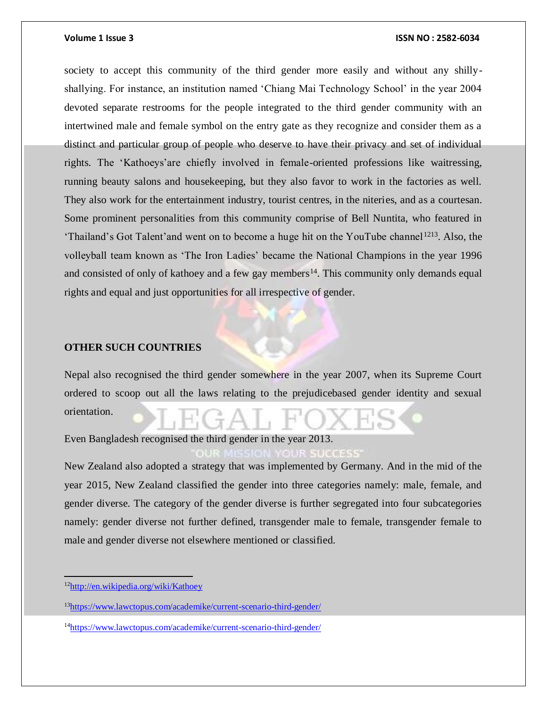society to accept this community of the third gender more easily and without any shillyshallying. For instance, an institution named 'Chiang Mai Technology School' in the year 2004 devoted separate restrooms for the people integrated to the third gender community with an intertwined male and female symbol on the entry gate as they recognize and consider them as a distinct and particular group of people who deserve to have their privacy and set of individual rights. The 'Kathoeys'are chiefly involved in female-oriented professions like waitressing, running beauty salons and housekeeping, but they also favor to work in the factories as well. They also work for the entertainment industry, tourist centres, in the niteries, and as a courtesan. Some prominent personalities from this community comprise of Bell Nuntita, who featured in 'Thailand's Got Talent'and went on to become a huge hit on the YouTube channel<sup>1213</sup>. Also, the volleyball team known as 'The Iron Ladies' became the National Champions in the year 1996 and consisted of only of kathoey and a few gay members<sup>14</sup>. This community only demands equal rights and equal and just opportunities for all irrespective of gender.

### **OTHER SUCH COUNTRIES**

Nepal also recognised the third gender somewhere in the year 2007, when its Supreme Court ordered to scoop out all the laws relating to the prejudicebased gender identity and sexual orientation.

Even Bangladesh recognised the third gender in the year 2013.

New Zealand also adopted a strategy that was implemented by Germany. And in the mid of the year 2015, New Zealand classified the gender into three categories namely: male, female, and gender diverse. The category of the gender diverse is further segregated into four subcategories namely: gender diverse not further defined, transgender male to female, transgender female to male and gender diverse not elsewhere mentioned or classified.

<sup>12</sup><http://en.wikipedia.org/wiki/Kathoey>

<sup>13</sup><https://www.lawctopus.com/academike/current-scenario-third-gender/>

<sup>14</sup><https://www.lawctopus.com/academike/current-scenario-third-gender/>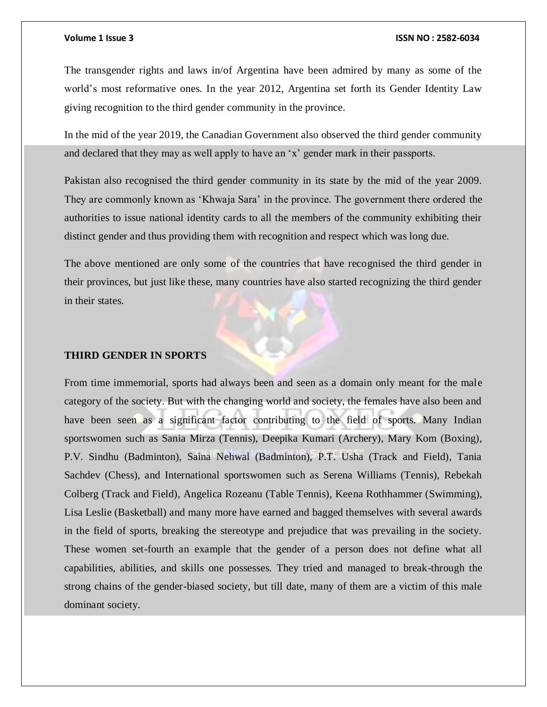The transgender rights and laws in/of Argentina have been admired by many as some of the world's most reformative ones. In the year 2012, Argentina set forth its Gender Identity Law giving recognition to the third gender community in the province.

In the mid of the year 2019, the Canadian Government also observed the third gender community and declared that they may as well apply to have an 'x' gender mark in their passports.

Pakistan also recognised the third gender community in its state by the mid of the year 2009. They are commonly known as 'Khwaja Sara' in the province. The government there ordered the authorities to issue national identity cards to all the members of the community exhibiting their distinct gender and thus providing them with recognition and respect which was long due.

The above mentioned are only some of the countries that have recognised the third gender in their provinces, but just like these, many countries have also started recognizing the third gender in their states.

### **THIRD GENDER IN SPORTS**

From time immemorial, sports had always been and seen as a domain only meant for the male category of the society. But with the changing world and society, the females have also been and have been seen as a significant factor contributing to the field of sports. Many Indian sportswomen such as Sania Mirza (Tennis), Deepika Kumari (Archery), Mary Kom (Boxing), P.V. Sindhu (Badminton), Saina Nehwal (Badminton), P.T. Usha (Track and Field), Tania Sachdev (Chess), and International sportswomen such as Serena Williams (Tennis), Rebekah Colberg (Track and Field), Angelica Rozeanu (Table Tennis), Keena Rothhammer (Swimming), Lisa Leslie (Basketball) and many more have earned and bagged themselves with several awards in the field of sports, breaking the stereotype and prejudice that was prevailing in the society. These women set-fourth an example that the gender of a person does not define what all capabilities, abilities, and skills one possesses. They tried and managed to break-through the strong chains of the gender-biased society, but till date, many of them are a victim of this male dominant society.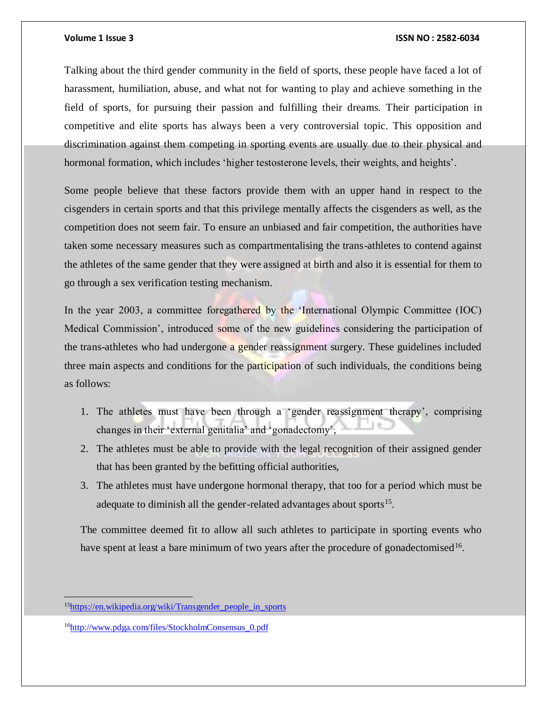Talking about the third gender community in the field of sports, these people have faced a lot of harassment, humiliation, abuse, and what not for wanting to play and achieve something in the field of sports, for pursuing their passion and fulfilling their dreams. Their participation in competitive and elite sports has always been a very controversial topic. This opposition and discrimination against them competing in sporting events are usually due to their physical and hormonal formation, which includes 'higher testosterone levels, their weights, and heights'.

Some people believe that these factors provide them with an upper hand in respect to the cisgenders in certain sports and that this privilege mentally affects the cisgenders as well, as the competition does not seem fair. To ensure an unbiased and fair competition, the authorities have taken some necessary measures such as compartmentalising the trans-athletes to contend against the athletes of the same gender that they were assigned at birth and also it is essential for them to go through a sex verification testing mechanism.

In the year 2003, a committee foregathered by the 'International Olympic Committee (IOC) Medical Commission', introduced some of the new guidelines considering the participation of the trans-athletes who had undergone a gender reassignment surgery. These guidelines included three main aspects and conditions for the participation of such individuals, the conditions being as follows:

- 1. The athletes must have been through a 'gender reassignment therapy', comprising changes in their 'external genitalia' and 'gonadectomy',
- 2. The athletes must be able to provide with the legal recognition of their assigned gender that has been granted by the befitting official authorities,
- 3. The athletes must have undergone hormonal therapy, that too for a period which must be adequate to diminish all the gender-related advantages about sports $15$ .

The committee deemed fit to allow all such athletes to participate in sporting events who have spent at least a bare minimum of two years after the procedure of gonadectomised<sup>16</sup>.

<sup>15</sup>[https://en.wikipedia.org/wiki/Transgender\\_people\\_in\\_sports](https://en.wikipedia.org/wiki/Transgender_people_in_sports)

<sup>16</sup>[http://www.pdga.com/files/StockholmConsensus\\_0.pdf](http://www.pdga.com/files/StockholmConsensus_0.pdf)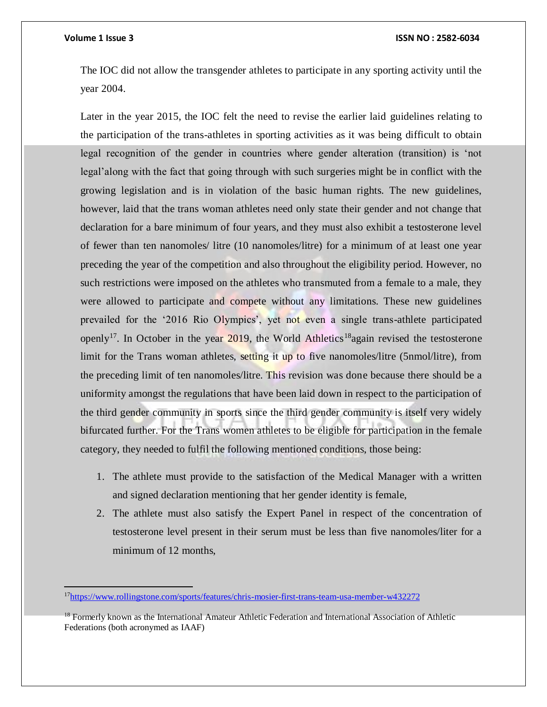$\overline{a}$ 

#### **Volume 1 Issue 3 ISSN NO : 2582-6034**

The IOC did not allow the transgender athletes to participate in any sporting activity until the year 2004.

Later in the year 2015, the IOC felt the need to revise the earlier laid guidelines relating to the participation of the trans-athletes in sporting activities as it was being difficult to obtain legal recognition of the gender in countries where gender alteration (transition) is 'not legal'along with the fact that going through with such surgeries might be in conflict with the growing legislation and is in violation of the basic human rights. The new guidelines, however, laid that the trans woman athletes need only state their gender and not change that declaration for a bare minimum of four years, and they must also exhibit a testosterone level of fewer than ten nanomoles/ litre (10 nanomoles/litre) for a minimum of at least one year preceding the year of the competition and also throughout the eligibility period. However, no such restrictions were imposed on the athletes who transmuted from a female to a male, they were allowed to participate and compete without any limitations. These new guidelines prevailed for the '2016 Rio Olympics', yet not even a single trans-athlete participated openly<sup>17</sup>. In October in the year  $\frac{2019}{100}$ , the World Athletics<sup>18</sup>again revised the testosterone limit for the Trans woman athletes, setting it up to five nanomoles/litre (5nmol/litre), from the preceding limit of ten nanomoles/litre. This revision was done because there should be a uniformity amongst the regulations that have been laid down in respect to the participation of the third gender community in sports since the third gender community is itself very widely bifurcated further. For the Trans women athletes to be eligible for participation in the female category, they needed to fulfil the following mentioned conditions, those being:

- 1. The athlete must provide to the satisfaction of the Medical Manager with a written and signed declaration mentioning that her gender identity is female,
- 2. The athlete must also satisfy the Expert Panel in respect of the concentration of testosterone level present in their serum must be less than five nanomoles/liter for a minimum of 12 months,

<sup>17</sup><https://www.rollingstone.com/sports/features/chris-mosier-first-trans-team-usa-member-w432272>

<sup>&</sup>lt;sup>18</sup> Formerly known as the International Amateur Athletic Federation and International Association of Athletic Federations (both acronymed as IAAF)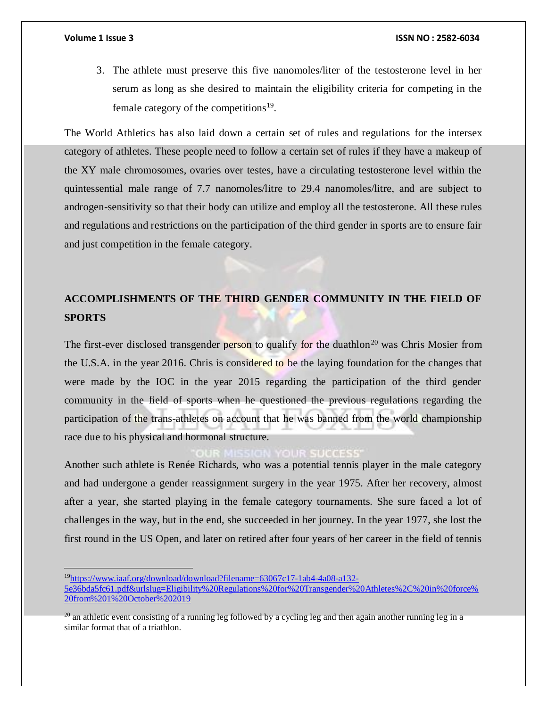3. The athlete must preserve this five nanomoles/liter of the testosterone level in her serum as long as she desired to maintain the eligibility criteria for competing in the female category of the competitions<sup>19</sup>.

The World Athletics has also laid down a certain set of rules and regulations for the intersex category of athletes. These people need to follow a certain set of rules if they have a makeup of the XY male chromosomes, ovaries over testes, have a circulating testosterone level within the quintessential male range of 7.7 nanomoles/litre to 29.4 nanomoles/litre, and are subject to androgen-sensitivity so that their body can utilize and employ all the testosterone. All these rules and regulations and restrictions on the participation of the third gender in sports are to ensure fair and just competition in the female category.

## **ACCOMPLISHMENTS OF THE THIRD GENDER COMMUNITY IN THE FIELD OF SPORTS**

The first-ever disclosed transgender person to qualify for the duathlon<sup>20</sup> was Chris Mosier from the U.S.A. in the year 2016. Chris is considered to be the laying foundation for the changes that were made by the IOC in the year 2015 regarding the participation of the third gender community in the field of sports when he questioned the previous regulations regarding the participation of the trans-athletes on account that he was banned from the world championship race due to his physical and hormonal structure.

Another such athlete is Renée Richards, who was a potential tennis player in the male category and had undergone a gender reassignment surgery in the year 1975. After her recovery, almost after a year, she started playing in the female category tournaments. She sure faced a lot of challenges in the way, but in the end, she succeeded in her journey. In the year 1977, she lost the first round in the US Open, and later on retired after four years of her career in the field of tennis

<sup>19</sup>[https://www.iaaf.org/download/download?filename=63067c17-1ab4-4a08-a132-](https://www.iaaf.org/download/download?filename=63067c17-1ab4-4a08-a132-5e36bda5fc61.pdf&urlslug=Eligibility%20Regulations%20for%20Transgender%20Athletes%2C%20in%20force%20from%201%20October%202019)

[<sup>5</sup>e36bda5fc61.pdf&urlslug=Eligibility%20Regulations%20for%20Transgender%20Athletes%2C%20in%20force%](https://www.iaaf.org/download/download?filename=63067c17-1ab4-4a08-a132-5e36bda5fc61.pdf&urlslug=Eligibility%20Regulations%20for%20Transgender%20Athletes%2C%20in%20force%20from%201%20October%202019) [20from%201%20October%202019](https://www.iaaf.org/download/download?filename=63067c17-1ab4-4a08-a132-5e36bda5fc61.pdf&urlslug=Eligibility%20Regulations%20for%20Transgender%20Athletes%2C%20in%20force%20from%201%20October%202019)

 $^{20}$  an athletic event consisting of a running leg followed by a cycling leg and then again another running leg in a similar format that of a triathlon.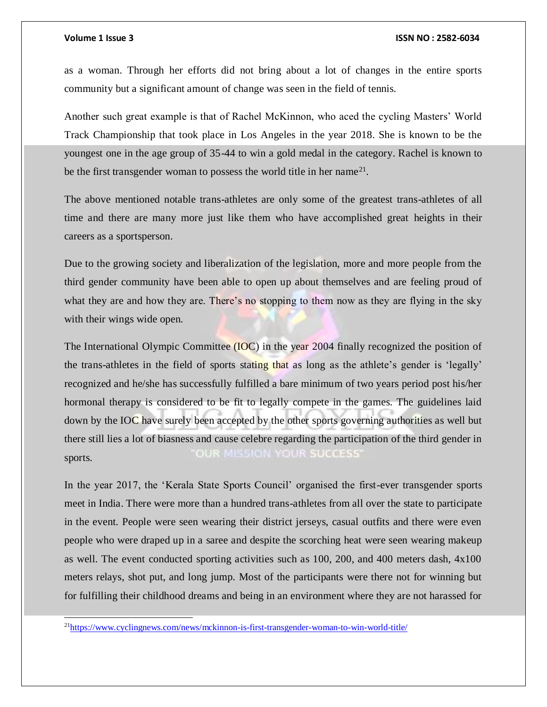l

as a woman. Through her efforts did not bring about a lot of changes in the entire sports community but a significant amount of change was seen in the field of tennis.

Another such great example is that of Rachel McKinnon, who aced the cycling Masters' World Track Championship that took place in Los Angeles in the year 2018. She is known to be the youngest one in the age group of 35-44 to win a gold medal in the category. Rachel is known to be the first transgender woman to possess the world title in her name<sup>21</sup>.

The above mentioned notable trans-athletes are only some of the greatest trans-athletes of all time and there are many more just like them who have accomplished great heights in their careers as a sportsperson.

Due to the growing society and liberalization of the legislation, more and more people from the third gender community have been able to open up about themselves and are feeling proud of what they are and how they are. There's no stopping to them now as they are flying in the sky with their wings wide open.

The International Olympic Committee (IOC) in the year 2004 finally recognized the position of the trans-athletes in the field of sports stating that as long as the athlete's gender is 'legally' recognized and he/she has successfully fulfilled a bare minimum of two years period post his/her hormonal therapy is considered to be fit to legally compete in the games. The guidelines laid down by the IOC have surely been accepted by the other sports governing authorities as well but there still lies a lot of biasness and cause celebre regarding the participation of the third gender in OUR MISSION YOUR SUCCESS' sports.

In the year 2017, the 'Kerala State Sports Council' organised the first-ever transgender sports meet in India. There were more than a hundred trans-athletes from all over the state to participate in the event. People were seen wearing their district jerseys, casual outfits and there were even people who were draped up in a saree and despite the scorching heat were seen wearing makeup as well. The event conducted sporting activities such as 100, 200, and 400 meters dash, 4x100 meters relays, shot put, and long jump. Most of the participants were there not for winning but for fulfilling their childhood dreams and being in an environment where they are not harassed for

<sup>21</sup><https://www.cyclingnews.com/news/mckinnon-is-first-transgender-woman-to-win-world-title/>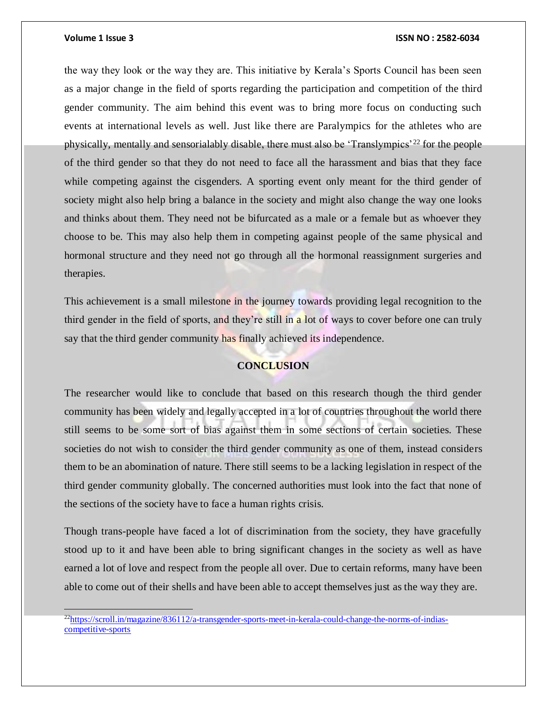#### **Volume 1 Issue 3 ISSN NO : 2582-6034**

the way they look or the way they are. This initiative by Kerala's Sports Council has been seen as a major change in the field of sports regarding the participation and competition of the third gender community. The aim behind this event was to bring more focus on conducting such events at international levels as well. Just like there are Paralympics for the athletes who are physically, mentally and sensorialably disable, there must also be 'Translympics'<sup>22</sup> for the people of the third gender so that they do not need to face all the harassment and bias that they face while competing against the cisgenders. A sporting event only meant for the third gender of society might also help bring a balance in the society and might also change the way one looks and thinks about them. They need not be bifurcated as a male or a female but as whoever they choose to be. This may also help them in competing against people of the same physical and hormonal structure and they need not go through all the hormonal reassignment surgeries and therapies.

This achievement is a small milestone in the journey towards providing legal recognition to the third gender in the field of sports, and they're still in a lot of ways to cover before one can truly say that the third gender community has finally achieved its independence.

### **CONCLUSION**

The researcher would like to conclude that based on this research though the third gender community has been widely and legally accepted in a lot of countries throughout the world there still seems to be some sort of bias against them in some sections of certain societies. These societies do not wish to consider the third gender community as one of them, instead considers them to be an abomination of nature. There still seems to be a lacking legislation in respect of the third gender community globally. The concerned authorities must look into the fact that none of the sections of the society have to face a human rights crisis.

Though trans-people have faced a lot of discrimination from the society, they have gracefully stood up to it and have been able to bring significant changes in the society as well as have earned a lot of love and respect from the people all over. Due to certain reforms, many have been able to come out of their shells and have been able to accept themselves just as the way they are.

<sup>22</sup>[https://scroll.in/magazine/836112/a-transgender-sports-meet-in-kerala-could-change-the-norms-of-indias](https://scroll.in/magazine/836112/a-transgender-sports-meet-in-kerala-could-change-the-norms-of-indias-competitive-sports)[competitive-sports](https://scroll.in/magazine/836112/a-transgender-sports-meet-in-kerala-could-change-the-norms-of-indias-competitive-sports)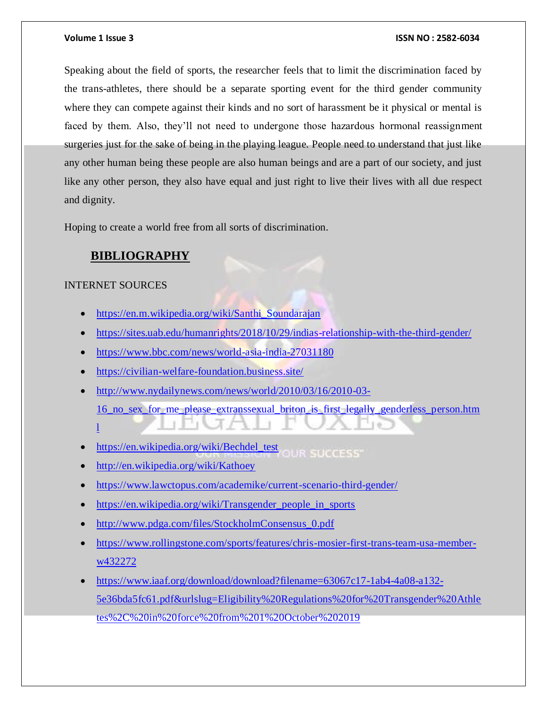Speaking about the field of sports, the researcher feels that to limit the discrimination faced by the trans-athletes, there should be a separate sporting event for the third gender community where they can compete against their kinds and no sort of harassment be it physical or mental is faced by them. Also, they'll not need to undergone those hazardous hormonal reassignment surgeries just for the sake of being in the playing league. People need to understand that just like any other human being these people are also human beings and are a part of our society, and just like any other person, they also have equal and just right to live their lives with all due respect and dignity.

Hoping to create a world free from all sorts of discrimination.

### **BIBLIOGRAPHY**

### INTERNET SOURCES

- [https://en.m.wikipedia.org/wiki/Santhi\\_Soundarajan](https://en.m.wikipedia.org/wiki/Santhi_Soundarajan)
- <https://sites.uab.edu/humanrights/2018/10/29/indias-relationship-with-the-third-gender/>
- <https://www.bbc.com/news/world-asia-india-27031180>
- <https://civilian-welfare-foundation.business.site/>
- [http://www.nydailynews.com/news/world/2010/03/16/2010-03-](http://www.nydailynews.com/news/world/2010/03/16/2010-03-16_no_sex_for_me_please_extranssexual_briton_is_first_legally_genderless_person.html) [16\\_no\\_sex\\_for\\_me\\_please\\_extranssexual\\_briton\\_is\\_first\\_legally\\_genderless\\_person.htm](http://www.nydailynews.com/news/world/2010/03/16/2010-03-16_no_sex_for_me_please_extranssexual_briton_is_first_legally_genderless_person.html)  $\mathbf{I}$
- [https://en.wikipedia.org/wiki/Bechdel\\_test](https://en.wikipedia.org/wiki/Bechdel_test) GUR SUCCESS
- <http://en.wikipedia.org/wiki/Kathoey>
- <https://www.lawctopus.com/academike/current-scenario-third-gender/>
- [https://en.wikipedia.org/wiki/Transgender\\_people\\_in\\_sports](https://en.wikipedia.org/wiki/Transgender_people_in_sports)
- [http://www.pdga.com/files/StockholmConsensus\\_0.pdf](http://www.pdga.com/files/StockholmConsensus_0.pdf)
- [https://www.rollingstone.com/sports/features/chris-mosier-first-trans-team-usa-member](https://www.rollingstone.com/sports/features/chris-mosier-first-trans-team-usa-member-w432272)[w432272](https://www.rollingstone.com/sports/features/chris-mosier-first-trans-team-usa-member-w432272)
- [https://www.iaaf.org/download/download?filename=63067c17-1ab4-4a08-a132-](https://www.iaaf.org/download/download?filename=63067c17-1ab4-4a08-a132-5e36bda5fc61.pdf&urlslug=Eligibility%20Regulations%20for%20Transgender%20Athletes%2C%20in%20force%20from%201%20October%202019) [5e36bda5fc61.pdf&urlslug=Eligibility%20Regulations%20for%20Transgender%20Athle](https://www.iaaf.org/download/download?filename=63067c17-1ab4-4a08-a132-5e36bda5fc61.pdf&urlslug=Eligibility%20Regulations%20for%20Transgender%20Athletes%2C%20in%20force%20from%201%20October%202019) [tes%2C%20in%20force%20from%201%20October%202019](https://www.iaaf.org/download/download?filename=63067c17-1ab4-4a08-a132-5e36bda5fc61.pdf&urlslug=Eligibility%20Regulations%20for%20Transgender%20Athletes%2C%20in%20force%20from%201%20October%202019)